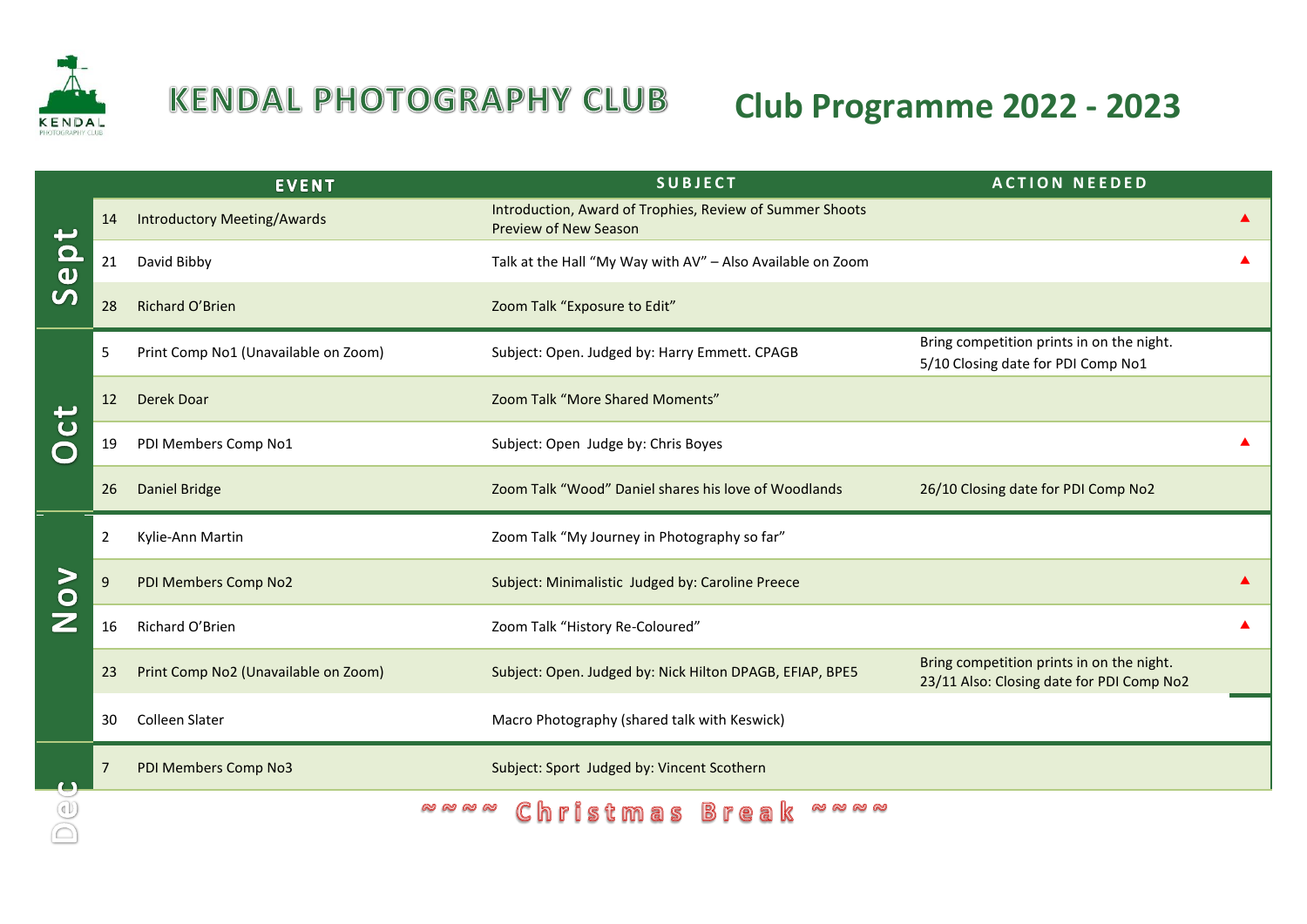

## **KENDAL PHOTOGRAPHY CLUB**

## **Club Programme 2022 - 2023**

|                     |                | <b>EVENT</b>                         | <b>SUBJECT</b>                                                                           | <b>ACTION NEEDED</b>                                                                   |  |
|---------------------|----------------|--------------------------------------|------------------------------------------------------------------------------------------|----------------------------------------------------------------------------------------|--|
| $\frac{0}{0}$       | 14             | <b>Introductory Meeting/Awards</b>   | Introduction, Award of Trophies, Review of Summer Shoots<br><b>Preview of New Season</b> |                                                                                        |  |
|                     | 21             | David Bibby                          | Talk at the Hall "My Way with AV" - Also Available on Zoom                               |                                                                                        |  |
|                     | 28             | Richard O'Brien                      | Zoom Talk "Exposure to Edit"                                                             |                                                                                        |  |
| $\mathbf C$         | 5              | Print Comp No1 (Unavailable on Zoom) | Subject: Open. Judged by: Harry Emmett. CPAGB                                            | Bring competition prints in on the night.<br>5/10 Closing date for PDI Comp No1        |  |
|                     | 12             | <b>Derek Doar</b>                    | Zoom Talk "More Shared Moments"                                                          |                                                                                        |  |
|                     | 19             | PDI Members Comp No1                 | Subject: Open Judge by: Chris Boyes                                                      |                                                                                        |  |
|                     | 26             | <b>Daniel Bridge</b>                 | Zoom Talk "Wood" Daniel shares his love of Woodlands                                     | 26/10 Closing date for PDI Comp No2                                                    |  |
| $\geq$<br>$\bullet$ | $\overline{2}$ | Kylie-Ann Martin                     | Zoom Talk "My Journey in Photography so far"                                             |                                                                                        |  |
|                     | 9              | PDI Members Comp No2                 | Subject: Minimalistic Judged by: Caroline Preece                                         |                                                                                        |  |
|                     | 16             | Richard O'Brien                      | Zoom Talk "History Re-Coloured"                                                          |                                                                                        |  |
|                     | 23             | Print Comp No2 (Unavailable on Zoom) | Subject: Open. Judged by: Nick Hilton DPAGB, EFIAP, BPE5                                 | Bring competition prints in on the night.<br>23/11 Also: Closing date for PDI Comp No2 |  |
|                     | 30             | <b>Colleen Slater</b>                | Macro Photography (shared talk with Keswick)                                             |                                                                                        |  |
|                     |                | PDI Members Comp No3                 | Subject: Sport Judged by: Vincent Scothern                                               |                                                                                        |  |
|                     |                | <b>@@@@</b>                          | Christmas Brea<br><b>@@@@</b>                                                            |                                                                                        |  |